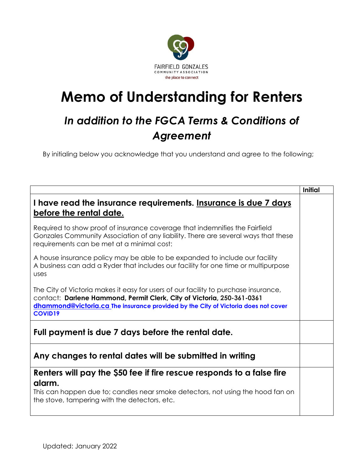

## **Memo of Understanding for Renters**

## *In addition to the FGCA Terms & Conditions of Agreement*

By initialing below you acknowledge that you understand and agree to the following;

|                                                                                                                                                                                                                                                                       | Initial |
|-----------------------------------------------------------------------------------------------------------------------------------------------------------------------------------------------------------------------------------------------------------------------|---------|
| I have read the insurance requirements. Insurance is due 7 days<br>before the rental date.                                                                                                                                                                            |         |
| Required to show proof of insurance coverage that indemnifies the Fairfield<br>Gonzales Community Association of any liability. There are several ways that these<br>requirements can be met at a minimal cost:                                                       |         |
| A house insurance policy may be able to be expanded to include our facility<br>A business can add a Ryder that includes our facility for one time or multipurpose<br>uses                                                                                             |         |
| The City of Victoria makes it easy for users of our facility to purchase insurance,<br>contact: Darlene Hammond, Permit Clerk, City of Victoria, 250-361-0361<br>dhammond@victoria.ca The insurance provided by the City of Victoria does not cover<br><b>COVID19</b> |         |
| Full payment is due 7 days before the rental date.                                                                                                                                                                                                                    |         |
| Any changes to rental dates will be submitted in writing                                                                                                                                                                                                              |         |
| Renters will pay the \$50 fee if fire rescue responds to a false fire                                                                                                                                                                                                 |         |
| alarm.<br>This can happen due to; candles near smoke detectors, not using the hood fan on<br>the stove, tampering with the detectors, etc.                                                                                                                            |         |